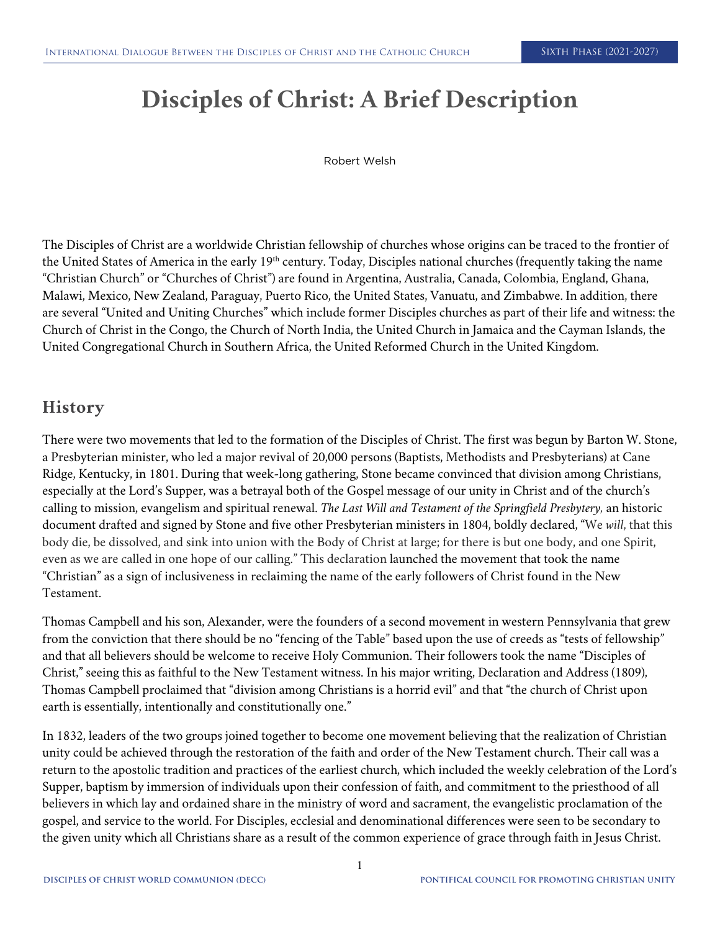# **Disciples of Christ: A Brief Description**

Robert Welsh

The Disciples of Christ are a worldwide Christian fellowship of churches whose origins can be traced to the frontier of the United States of America in the early 19<sup>th</sup> century. Today, Disciples national churches (frequently taking the name "Christian Church" or "Churches of Christ") are found in Argentina, Australia, Canada, Colombia, England, Ghana, Malawi, Mexico, New Zealand, Paraguay, Puerto Rico, the United States, Vanuatu, and Zimbabwe. In addition, there are several "United and Uniting Churches" which include former Disciples churches as part of their life and witness: the Church of Christ in the Congo, the Church of North India, the United Church in Jamaica and the Cayman Islands, the United Congregational Church in Southern Africa, the United Reformed Church in the United Kingdom.

### **History**

There were two movements that led to the formation of the Disciples of Christ. The first was begun by Barton W. Stone, a Presbyterian minister, who led a major revival of 20,000 persons (Baptists, Methodists and Presbyterians) at Cane Ridge, Kentucky, in 1801. During that week-long gathering, Stone became convinced that division among Christians, especially at the Lord's Supper, was a betrayal both of the Gospel message of our unity in Christ and of the church's calling to mission, evangelism and spiritual renewal. *The Last Will and Testament of the Springfield Presbytery,* an historic document drafted and signed by Stone and five other Presbyterian ministers in 1804, boldly declared, "We *will*, that this body die, be dissolved, and sink into union with the Body of Christ at large; for there is but one body, and one Spirit, even as we are called in one hope of our calling." This declaration launched the movement that took the name "Christian" as a sign of inclusiveness in reclaiming the name of the early followers of Christ found in the New Testament.

Thomas Campbell and his son, Alexander, were the founders of a second movement in western Pennsylvania that grew from the conviction that there should be no "fencing of the Table" based upon the use of creeds as "tests of fellowship" and that all believers should be welcome to receive Holy Communion. Their followers took the name "Disciples of Christ," seeing this as faithful to the New Testament witness. In his major writing, Declaration and Address (1809), Thomas Campbell proclaimed that "division among Christians is a horrid evil" and that "the church of Christ upon earth is essentially, intentionally and constitutionally one."

In 1832, leaders of the two groups joined together to become one movement believing that the realization of Christian unity could be achieved through the restoration of the faith and order of the New Testament church. Their call was a return to the apostolic tradition and practices of the earliest church, which included the weekly celebration of the Lord's Supper, baptism by immersion of individuals upon their confession of faith, and commitment to the priesthood of all believers in which lay and ordained share in the ministry of word and sacrament, the evangelistic proclamation of the gospel, and service to the world. For Disciples, ecclesial and denominational differences were seen to be secondary to the given unity which all Christians share as a result of the common experience of grace through faith in Jesus Christ.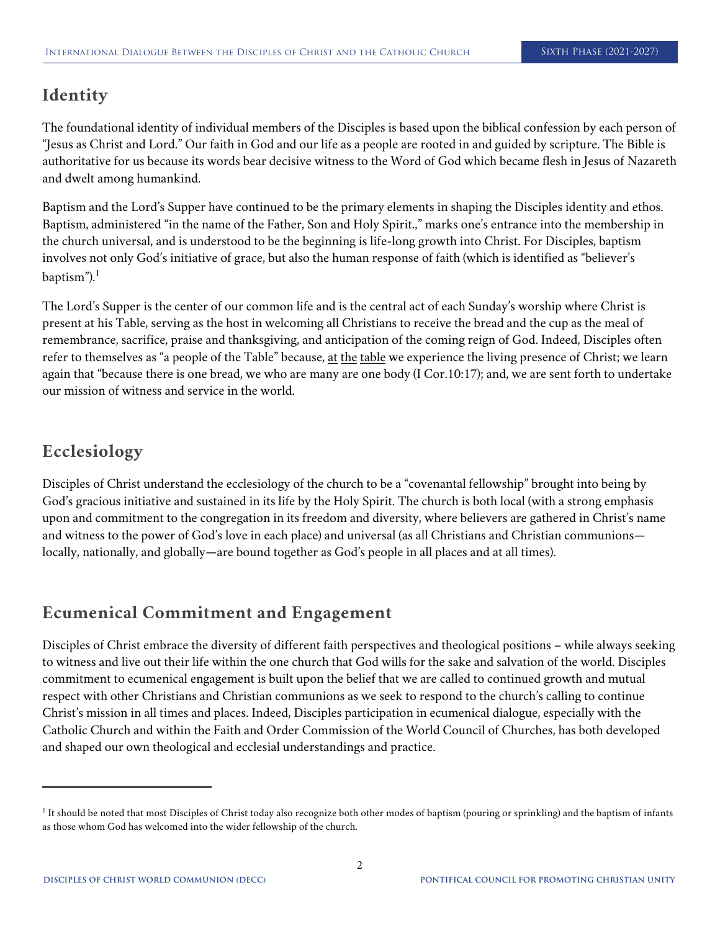## **Identity**

The foundational identity of individual members of the Disciples is based upon the biblical confession by each person of "Jesus as Christ and Lord." Our faith in God and our life as a people are rooted in and guided by scripture. The Bible is authoritative for us because its words bear decisive witness to the Word of God which became flesh in Jesus of Nazareth and dwelt among humankind.

Baptism and the Lord's Supper have continued to be the primary elements in shaping the Disciples identity and ethos. Baptism, administered "in the name of the Father, Son and Holy Spirit.," marks one's entrance into the membership in the church universal, and is understood to be the beginning is life-long growth into Christ. For Disciples, baptism involves not only God's initiative of grace, but also the human response of faith (which is identified as "believer's baptism"). $<sup>1</sup>$ </sup>

The Lord's Supper is the center of our common life and is the central act of each Sunday's worship where Christ is present at his Table, serving as the host in welcoming all Christians to receive the bread and the cup as the meal of remembrance, sacrifice, praise and thanksgiving, and anticipation of the coming reign of God. Indeed, Disciples often refer to themselves as "a people of the Table" because, at the table we experience the living presence of Christ; we learn again that "because there is one bread, we who are many are one body (I Cor.10:17); and, we are sent forth to undertake our mission of witness and service in the world.

## **Ecclesiology**

Disciples of Christ understand the ecclesiology of the church to be a "covenantal fellowship" brought into being by God's gracious initiative and sustained in its life by the Holy Spirit. The church is both local (with a strong emphasis upon and commitment to the congregation in its freedom and diversity, where believers are gathered in Christ's name and witness to the power of God's love in each place) and universal (as all Christians and Christian communions locally, nationally, and globally—are bound together as God's people in all places and at all times).

## **Ecumenical Commitment and Engagement**

Disciples of Christ embrace the diversity of different faith perspectives and theological positions – while always seeking to witness and live out their life within the one church that God wills for the sake and salvation of the world. Disciples commitment to ecumenical engagement is built upon the belief that we are called to continued growth and mutual respect with other Christians and Christian communions as we seek to respond to the church's calling to continue Christ's mission in all times and places. Indeed, Disciples participation in ecumenical dialogue, especially with the Catholic Church and within the Faith and Order Commission of the World Council of Churches, has both developed and shaped our own theological and ecclesial understandings and practice.

<sup>&</sup>lt;sup>1</sup> It should be noted that most Disciples of Christ today also recognize both other modes of baptism (pouring or sprinkling) and the baptism of infants as those whom God has welcomed into the wider fellowship of the church.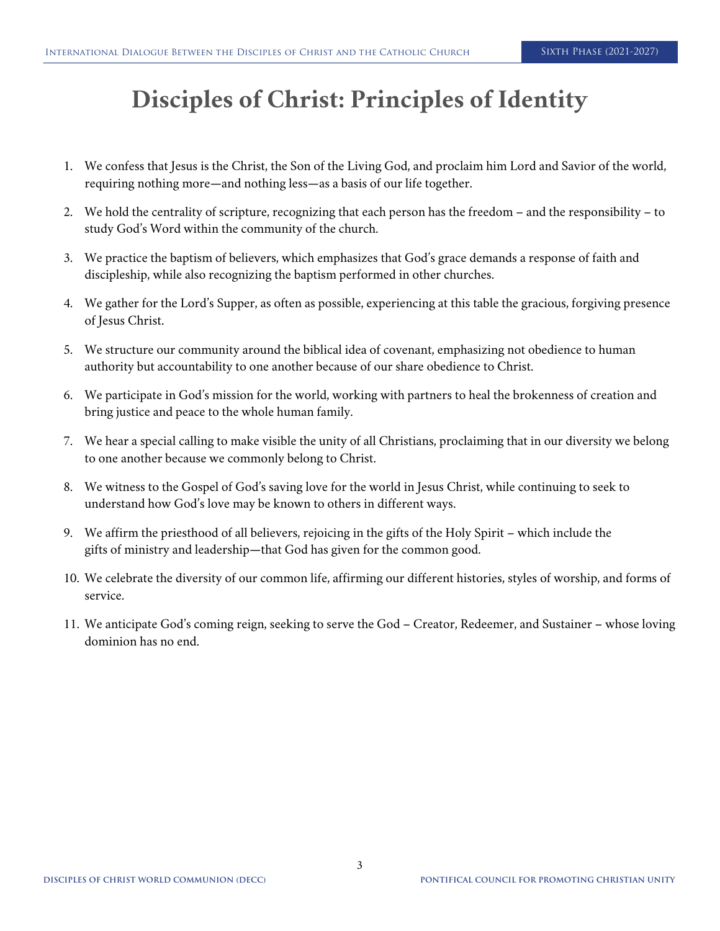## **Disciples of Christ: Principles of Identity**

- 1. We confess that Jesus is the Christ, the Son of the Living God, and proclaim him Lord and Savior of the world, requiring nothing more—and nothing less—as a basis of our life together.
- 2. We hold the centrality of scripture, recognizing that each person has the freedom and the responsibility to study God's Word within the community of the church.
- 3. We practice the baptism of believers, which emphasizes that God's grace demands a response of faith and discipleship, while also recognizing the baptism performed in other churches.
- 4. We gather for the Lord's Supper, as often as possible, experiencing at this table the gracious, forgiving presence of Jesus Christ.
- 5. We structure our community around the biblical idea of covenant, emphasizing not obedience to human authority but accountability to one another because of our share obedience to Christ.
- 6. We participate in God's mission for the world, working with partners to heal the brokenness of creation and bring justice and peace to the whole human family.
- 7. We hear a special calling to make visible the unity of all Christians, proclaiming that in our diversity we belong to one another because we commonly belong to Christ.
- 8. We witness to the Gospel of God's saving love for the world in Jesus Christ, while continuing to seek to understand how God's love may be known to others in different ways.
- 9. We affirm the priesthood of all believers, rejoicing in the gifts of the Holy Spirit which include the gifts of ministry and leadership—that God has given for the common good.
- 10. We celebrate the diversity of our common life, affirming our different histories, styles of worship, and forms of service.
- 11. We anticipate God's coming reign, seeking to serve the God Creator, Redeemer, and Sustainer whose loving dominion has no end.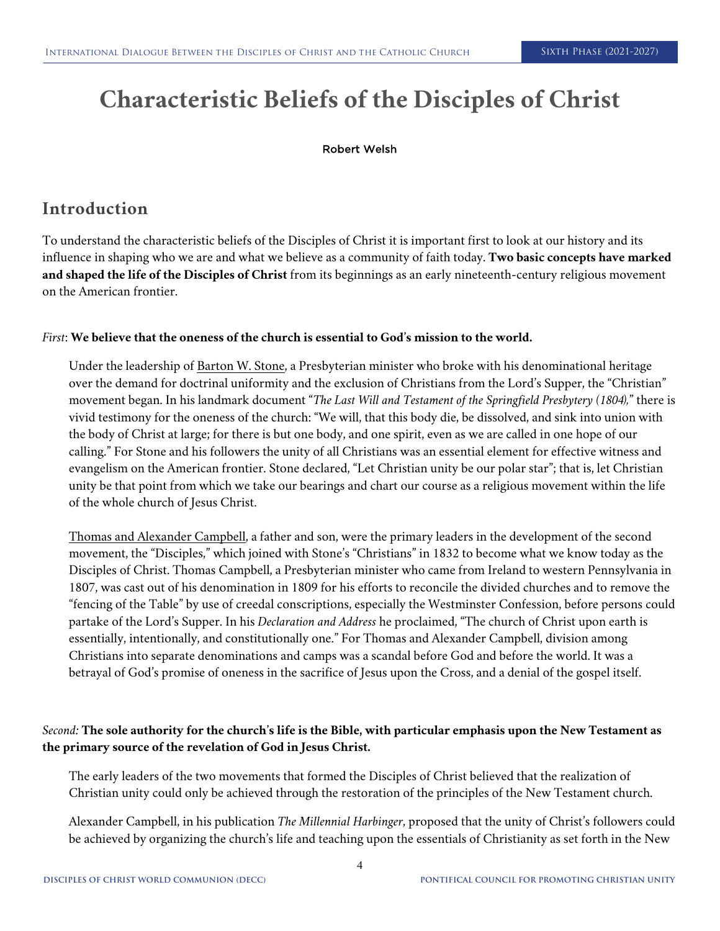# **Characteristic Beliefs of the Disciples of Christ**

#### Robert Welsh

## **Introduction**

To understand the characteristic beliefs of the Disciples of Christ it is important first to look at our history and its influence in shaping who we are and what we believe as a community of faith today. **Two basic concepts have marked and shaped the life of the Disciples of Christ** from its beginnings as an early nineteenth-century religious movement on the American frontier.

#### *First*: **We believe that the oneness of the church is essential to God's mission to the world.**

Under the leadership of Barton W. Stone, a Presbyterian minister who broke with his denominational heritage over the demand for doctrinal uniformity and the exclusion of Christians from the Lord's Supper, the "Christian" movement began. In his landmark document "*The Last Will and Testament of the Springfield Presbytery (1804),*" there is vivid testimony for the oneness of the church: "We will, that this body die, be dissolved, and sink into union with the body of Christ at large; for there is but one body, and one spirit, even as we are called in one hope of our calling." For Stone and his followers the unity of all Christians was an essential element for effective witness and evangelism on the American frontier. Stone declared, "Let Christian unity be our polar star"; that is, let Christian unity be that point from which we take our bearings and chart our course as a religious movement within the life of the whole church of Jesus Christ.

Thomas and Alexander Campbell, a father and son, were the primary leaders in the development of the second movement, the "Disciples," which joined with Stone's "Christians" in 1832 to become what we know today as the Disciples of Christ. Thomas Campbell, a Presbyterian minister who came from Ireland to western Pennsylvania in 1807, was cast out of his denomination in 1809 for his efforts to reconcile the divided churches and to remove the "fencing of the Table" by use of creedal conscriptions, especially the Westminster Confession, before persons could partake of the Lord's Supper. In his *Declaration and Address* he proclaimed, "The church of Christ upon earth is essentially, intentionally, and constitutionally one." For Thomas and Alexander Campbell, division among Christians into separate denominations and camps was a scandal before God and before the world. It was a betrayal of God's promise of oneness in the sacrifice of Jesus upon the Cross, and a denial of the gospel itself.

#### *Second:* **The sole authority for the church's life is the Bible, with particular emphasis upon the New Testament as the primary source of the revelation of God in Jesus Christ.**

The early leaders of the two movements that formed the Disciples of Christ believed that the realization of Christian unity could only be achieved through the restoration of the principles of the New Testament church.

Alexander Campbell, in his publication *The Millennial Harbinger*, proposed that the unity of Christ's followers could be achieved by organizing the church's life and teaching upon the essentials of Christianity as set forth in the New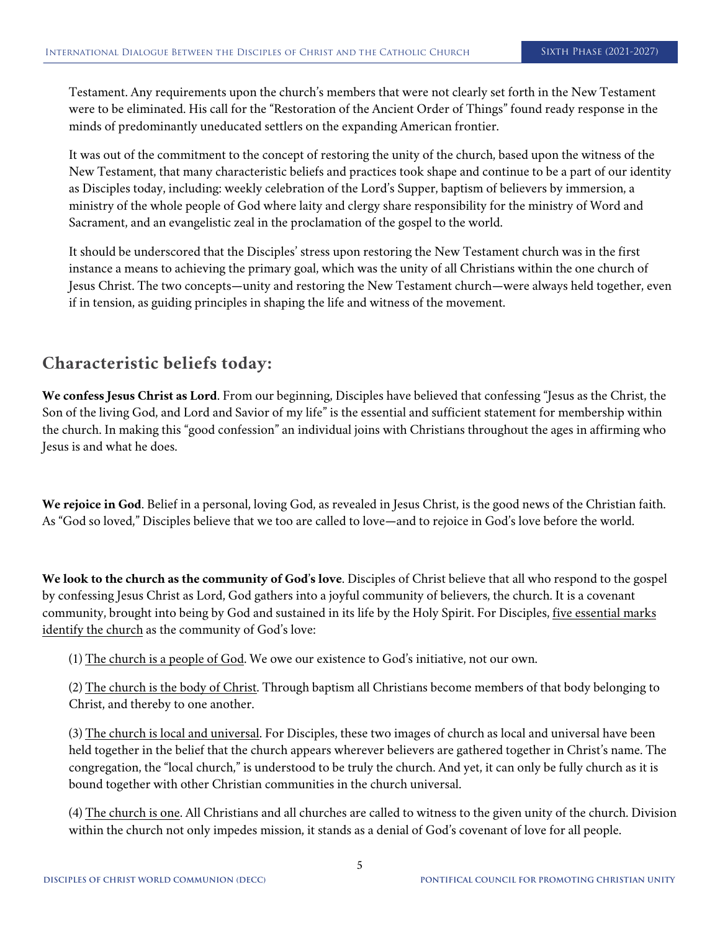Testament. Any requirements upon the church's members that were not clearly set forth in the New Testament were to be eliminated. His call for the "Restoration of the Ancient Order of Things" found ready response in the minds of predominantly uneducated settlers on the expanding American frontier.

It was out of the commitment to the concept of restoring the unity of the church, based upon the witness of the New Testament, that many characteristic beliefs and practices took shape and continue to be a part of our identity as Disciples today, including: weekly celebration of the Lord's Supper, baptism of believers by immersion, a ministry of the whole people of God where laity and clergy share responsibility for the ministry of Word and Sacrament, and an evangelistic zeal in the proclamation of the gospel to the world.

It should be underscored that the Disciples' stress upon restoring the New Testament church was in the first instance a means to achieving the primary goal, which was the unity of all Christians within the one church of Jesus Christ. The two concepts—unity and restoring the New Testament church—were always held together, even if in tension, as guiding principles in shaping the life and witness of the movement.

## **Characteristic beliefs today:**

**We confess Jesus Christ as Lord**. From our beginning, Disciples have believed that confessing "Jesus as the Christ, the Son of the living God, and Lord and Savior of my life" is the essential and sufficient statement for membership within the church. In making this "good confession" an individual joins with Christians throughout the ages in affirming who Jesus is and what he does.

**We rejoice in God**. Belief in a personal, loving God, as revealed in Jesus Christ, is the good news of the Christian faith. As "God so loved," Disciples believe that we too are called to love—and to rejoice in God's love before the world.

**We look to the church as the community of God's love**. Disciples of Christ believe that all who respond to the gospel by confessing Jesus Christ as Lord, God gathers into a joyful community of believers, the church. It is a covenant community, brought into being by God and sustained in its life by the Holy Spirit. For Disciples, five essential marks identify the church as the community of God's love:

(1) The church is a people of God. We owe our existence to God's initiative, not our own.

(2) The church is the body of Christ. Through baptism all Christians become members of that body belonging to Christ, and thereby to one another.

(3) The church is local and universal. For Disciples, these two images of church as local and universal have been held together in the belief that the church appears wherever believers are gathered together in Christ's name. The congregation, the "local church," is understood to be truly the church. And yet, it can only be fully church as it is bound together with other Christian communities in the church universal.

(4) The church is one. All Christians and all churches are called to witness to the given unity of the church. Division within the church not only impedes mission, it stands as a denial of God's covenant of love for all people.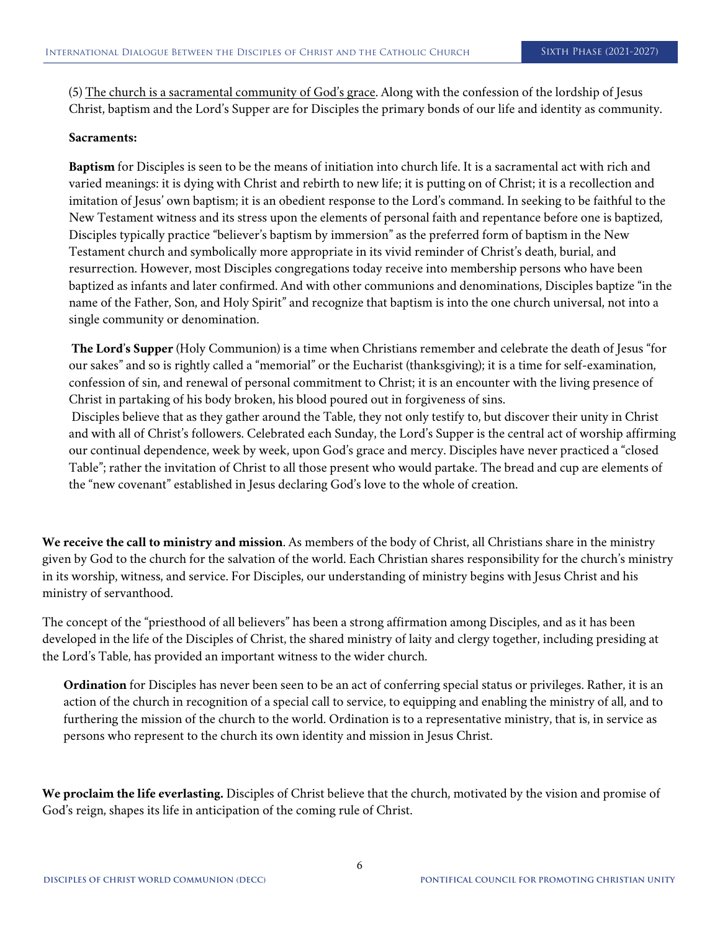(5) The church is a sacramental community of God's grace. Along with the confession of the lordship of Jesus Christ, baptism and the Lord's Supper are for Disciples the primary bonds of our life and identity as community.

#### **Sacraments:**

**Baptism** for Disciples is seen to be the means of initiation into church life. It is a sacramental act with rich and varied meanings: it is dying with Christ and rebirth to new life; it is putting on of Christ; it is a recollection and imitation of Jesus' own baptism; it is an obedient response to the Lord's command. In seeking to be faithful to the New Testament witness and its stress upon the elements of personal faith and repentance before one is baptized, Disciples typically practice "believer's baptism by immersion" as the preferred form of baptism in the New Testament church and symbolically more appropriate in its vivid reminder of Christ's death, burial, and resurrection. However, most Disciples congregations today receive into membership persons who have been baptized as infants and later confirmed. And with other communions and denominations, Disciples baptize "in the name of the Father, Son, and Holy Spirit" and recognize that baptism is into the one church universal, not into a single community or denomination.

**The Lord's Supper** (Holy Communion) is a time when Christians remember and celebrate the death of Jesus "for our sakes" and so is rightly called a "memorial" or the Eucharist (thanksgiving); it is a time for self-examination, confession of sin, and renewal of personal commitment to Christ; it is an encounter with the living presence of Christ in partaking of his body broken, his blood poured out in forgiveness of sins.

Disciples believe that as they gather around the Table, they not only testify to, but discover their unity in Christ and with all of Christ's followers. Celebrated each Sunday, the Lord's Supper is the central act of worship affirming our continual dependence, week by week, upon God's grace and mercy. Disciples have never practiced a "closed Table"; rather the invitation of Christ to all those present who would partake. The bread and cup are elements of the "new covenant" established in Jesus declaring God's love to the whole of creation.

**We receive the call to ministry and mission**. As members of the body of Christ, all Christians share in the ministry given by God to the church for the salvation of the world. Each Christian shares responsibility for the church's ministry in its worship, witness, and service. For Disciples, our understanding of ministry begins with Jesus Christ and his ministry of servanthood.

The concept of the "priesthood of all believers" has been a strong affirmation among Disciples, and as it has been developed in the life of the Disciples of Christ, the shared ministry of laity and clergy together, including presiding at the Lord's Table, has provided an important witness to the wider church.

**Ordination** for Disciples has never been seen to be an act of conferring special status or privileges. Rather, it is an action of the church in recognition of a special call to service, to equipping and enabling the ministry of all, and to furthering the mission of the church to the world. Ordination is to a representative ministry, that is, in service as persons who represent to the church its own identity and mission in Jesus Christ.

**We proclaim the life everlasting.** Disciples of Christ believe that the church, motivated by the vision and promise of God's reign, shapes its life in anticipation of the coming rule of Christ.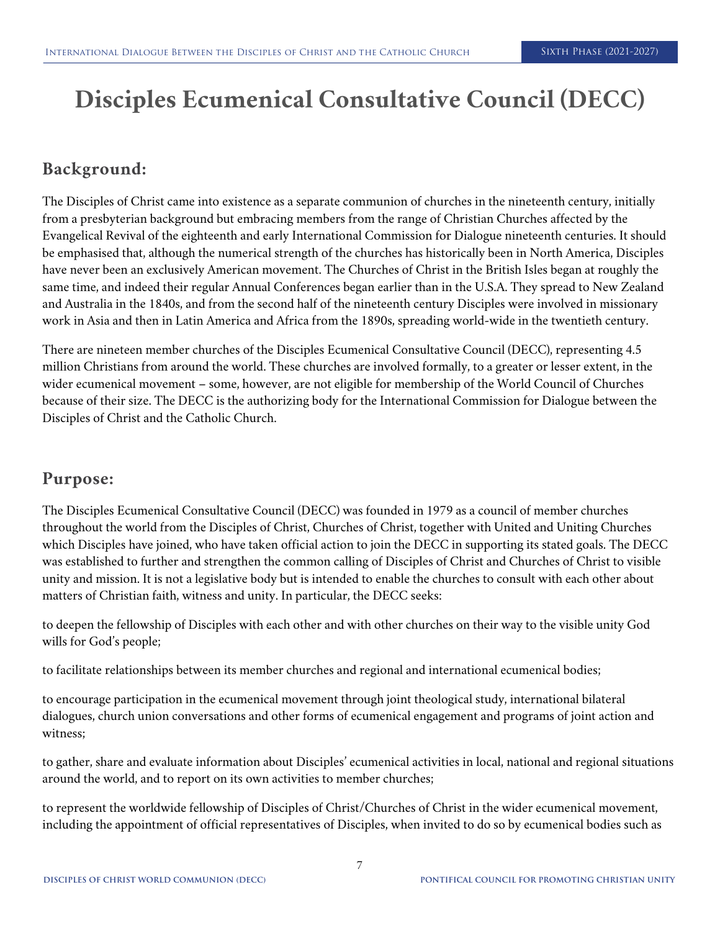# **Disciples Ecumenical Consultative Council (DECC)**

## **Background:**

The Disciples of Christ came into existence as a separate communion of churches in the nineteenth century, initially from a presbyterian background but embracing members from the range of Christian Churches affected by the Evangelical Revival of the eighteenth and early International Commission for Dialogue nineteenth centuries. It should be emphasised that, although the numerical strength of the churches has historically been in North America, Disciples have never been an exclusively American movement. The Churches of Christ in the British Isles began at roughly the same time, and indeed their regular Annual Conferences began earlier than in the U.S.A. They spread to New Zealand and Australia in the 1840s, and from the second half of the nineteenth century Disciples were involved in missionary work in Asia and then in Latin America and Africa from the 1890s, spreading world-wide in the twentieth century.

There are nineteen member churches of the Disciples Ecumenical Consultative Council (DECC), representing 4.5 million Christians from around the world. These churches are involved formally, to a greater or lesser extent, in the wider ecumenical movement – some, however, are not eligible for membership of the World Council of Churches because of their size. The DECC is the authorizing body for the International Commission for Dialogue between the Disciples of Christ and the Catholic Church.

### **Purpose:**

The Disciples Ecumenical Consultative Council (DECC) was founded in 1979 as a council of member churches throughout the world from the Disciples of Christ, Churches of Christ, together with United and Uniting Churches which Disciples have joined, who have taken official action to join the DECC in supporting its stated goals. The DECC was established to further and strengthen the common calling of Disciples of Christ and Churches of Christ to visible unity and mission. It is not a legislative body but is intended to enable the churches to consult with each other about matters of Christian faith, witness and unity. In particular, the DECC seeks:

to deepen the fellowship of Disciples with each other and with other churches on their way to the visible unity God wills for God's people;

to facilitate relationships between its member churches and regional and international ecumenical bodies;

to encourage participation in the ecumenical movement through joint theological study, international bilateral dialogues, church union conversations and other forms of ecumenical engagement and programs of joint action and witness;

to gather, share and evaluate information about Disciples' ecumenical activities in local, national and regional situations around the world, and to report on its own activities to member churches;

to represent the worldwide fellowship of Disciples of Christ/Churches of Christ in the wider ecumenical movement, including the appointment of official representatives of Disciples, when invited to do so by ecumenical bodies such as